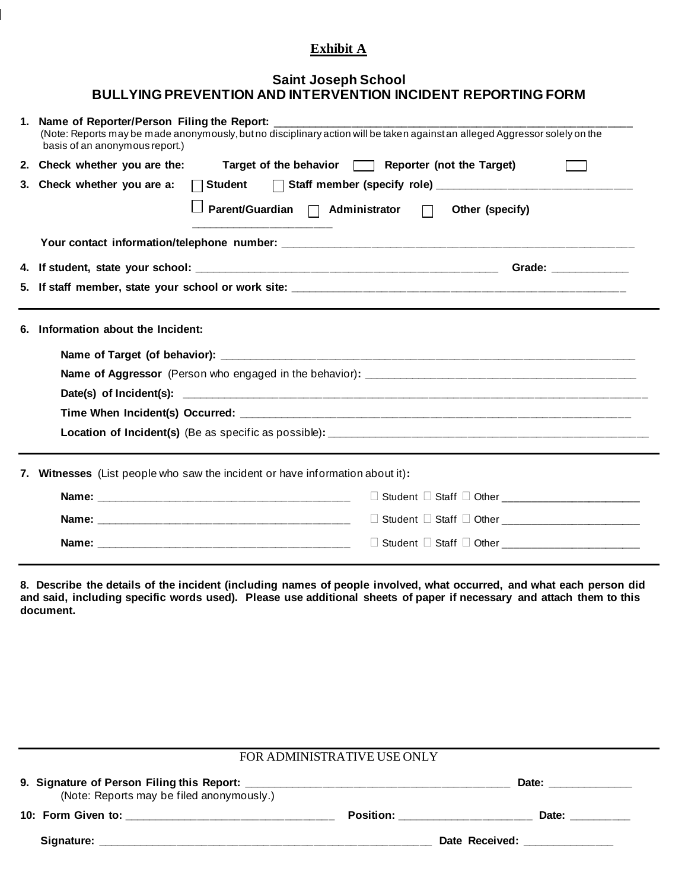## **Exhibit A**

## **Saint Joseph School BULLYING PREVENTION AND INTERVENTION INCIDENT REPORTING FORM**

| 1.                                                                            | Name of Reporter/Person Filing the Report:<br>(Note: Reports may be made anonymously, but no disciplinary action will be taken against an alleged Aggressor solely on the<br>basis of an anonymous report.)                     |  |  |  |  |  |
|-------------------------------------------------------------------------------|---------------------------------------------------------------------------------------------------------------------------------------------------------------------------------------------------------------------------------|--|--|--|--|--|
|                                                                               | 2. Check whether you are the:<br>Target of the behavior <b>Target</b> ) Reporter (not the Target)                                                                                                                               |  |  |  |  |  |
|                                                                               | 3. Check whether you are a:<br>$\Box$ Student<br>Parent/Guardian   Administrator  <br>Other (specify)<br><u> 1980 - Johann John Harry Harry Harry Harry Harry Harry Harry Harry Harry Harry Harry Harry Harry Harry Harry H</u> |  |  |  |  |  |
|                                                                               |                                                                                                                                                                                                                                 |  |  |  |  |  |
| 5.                                                                            |                                                                                                                                                                                                                                 |  |  |  |  |  |
| 6.                                                                            | Information about the Incident:                                                                                                                                                                                                 |  |  |  |  |  |
|                                                                               |                                                                                                                                                                                                                                 |  |  |  |  |  |
| 7. Witnesses (List people who saw the incident or have information about it): |                                                                                                                                                                                                                                 |  |  |  |  |  |
|                                                                               |                                                                                                                                                                                                                                 |  |  |  |  |  |
|                                                                               |                                                                                                                                                                                                                                 |  |  |  |  |  |
|                                                                               |                                                                                                                                                                                                                                 |  |  |  |  |  |

**8. Describe the details of the incident (including names of people involved, what occurred, and what each person did and said, including specific words used). Please use additional sheets of paper if necessary and attach them to this document.**

| FOR ADMINISTRATIVE USE ONLY               |                                                                                                                                                                                                                                |                      |  |  |  |  |  |
|-------------------------------------------|--------------------------------------------------------------------------------------------------------------------------------------------------------------------------------------------------------------------------------|----------------------|--|--|--|--|--|
| (Note: Reports may be filed anonymously.) | Date: the contract of the contract of the contract of the contract of the contract of the contract of the contract of the contract of the contract of the contract of the contract of the contract of the contract of the cont |                      |  |  |  |  |  |
|                                           | Position: _________________                                                                                                                                                                                                    | Date: <b>Example</b> |  |  |  |  |  |
|                                           | Date Received: 2000 Mate 2010                                                                                                                                                                                                  |                      |  |  |  |  |  |